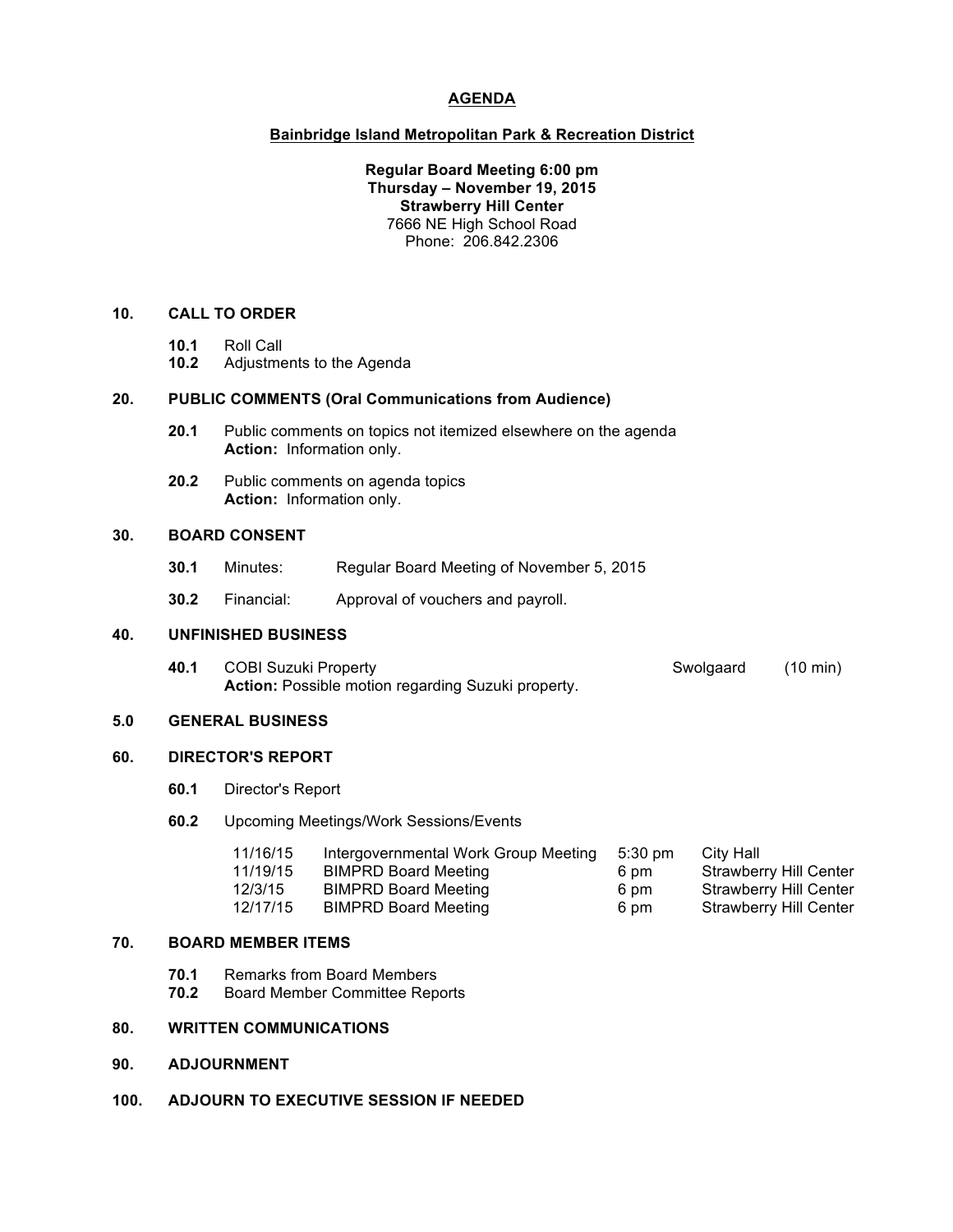## **AGENDA**

#### **Bainbridge Island Metropolitan Park & Recreation District**

**Regular Board Meeting 6:00 pm Thursday – November 19, 2015 Strawberry Hill Center** 7666 NE High School Road Phone: 206.842.2306

## **10. CALL TO ORDER**

- **10.1** Roll Call
- **10.2** Adjustments to the Agenda

#### **20. PUBLIC COMMENTS (Oral Communications from Audience)**

- **20.1** Public comments on topics not itemized elsewhere on the agenda **Action:** Information only.
- **20.2** Public comments on agenda topics **Action:** Information only.

## **30. BOARD CONSENT**

- **30.1** Minutes: Regular Board Meeting of November 5, 2015
- **30.2** Financial: Approval of vouchers and payroll.

#### **40. UNFINISHED BUSINESS**

**40.1** COBI Suzuki Property **Swolgaard** (10 min) **Action:** Possible motion regarding Suzuki property.

## **5.0 GENERAL BUSINESS**

### **60. DIRECTOR'S REPORT**

**60.1** Director's Report

## **60.2** Upcoming Meetings/Work Sessions/Events

| 11/16/15 | Intergovernmental Work Group Meeting | 5:30 pm | City Hall                     |
|----------|--------------------------------------|---------|-------------------------------|
| 11/19/15 | <b>BIMPRD Board Meeting</b>          | 6 pm    | <b>Strawberry Hill Center</b> |
| 12/3/15  | <b>BIMPRD Board Meeting</b>          | 6 pm    | Strawberry Hill Center        |
| 12/17/15 | <b>BIMPRD Board Meeting</b>          | 6 pm    | Strawberry Hill Center        |

#### **70. BOARD MEMBER ITEMS**

- **70.1** Remarks from Board Members<br>**70.2** Board Member Committee Rep
- **70.2** Board Member Committee Reports

# **80. WRITTEN COMMUNICATIONS**

- **90. ADJOURNMENT**
- **100. ADJOURN TO EXECUTIVE SESSION IF NEEDED**